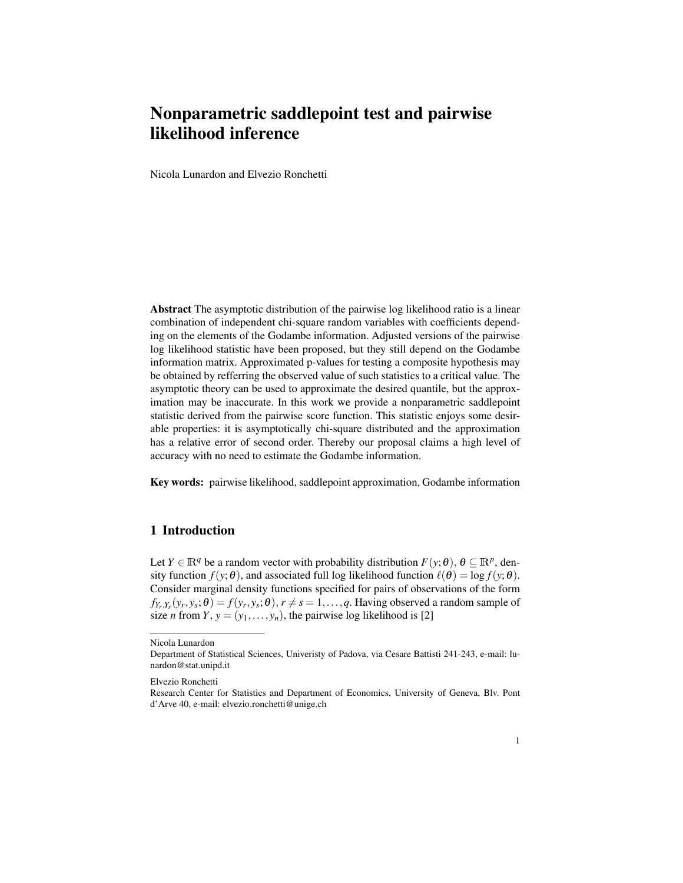# Nonparametric saddlepoint test and pairwise likelihood inference

Nicola Lunardon and Elvezio Ronchetti

Abstract The asymptotic distribution of the pairwise log likelihood ratio is a linear combination of independent chi-square random variables with coefficients depending on the elements of the Godambe information. Adjusted versions of the pairwise log likelihood statistic have been proposed, but they still depend on the Godambe information matrix. Approximated p-values for testing a composite hypothesis may be obtained by refferring the observed value of such statistics to a critical value. The asymptotic theory can be used to approximate the desired quantile, but the approximation may be inaccurate. In this work we provide a nonparametric saddlepoint statistic derived from the pairwise score function. This statistic enjoys some desirable properties: it is asymptotically chi-square distributed and the approximation has a relative error of second order. Thereby our proposal claims a high level of accuracy with no need to estimate the Godambe information.

Key words: pairwise likelihood, saddlepoint approximation, Godambe information

## 1 Introduction

Let  $Y \in \mathbb{R}^q$  be a random vector with probability distribution  $F(y; \theta)$ ,  $\theta \subseteq \mathbb{R}^p$ , density function  $f(y; \theta)$ , and associated full log likelihood function  $\ell(\theta) = \log f(y; \theta)$ . Consider marginal density functions specified for pairs of observations of the form  $f_{Y_r,Y_s}(y_r,y_s;\theta) = f(y_r,y_s;\theta), r \neq s = 1,\ldots,q.$  Having observed a random sample of size *n* from *Y*,  $y = (y_1, \ldots, y_n)$ , the pairwise log likelihood is [2]

Nicola Lunardon

Department of Statistical Sciences, Univeristy of Padova, via Cesare Battisti 241-243, e-mail: lunardon@stat.unipd.it

Elvezio Ronchetti

Research Center for Statistics and Department of Economics, University of Geneva, Blv. Pont d'Arve 40, e-mail: elvezio.ronchetti@unige.ch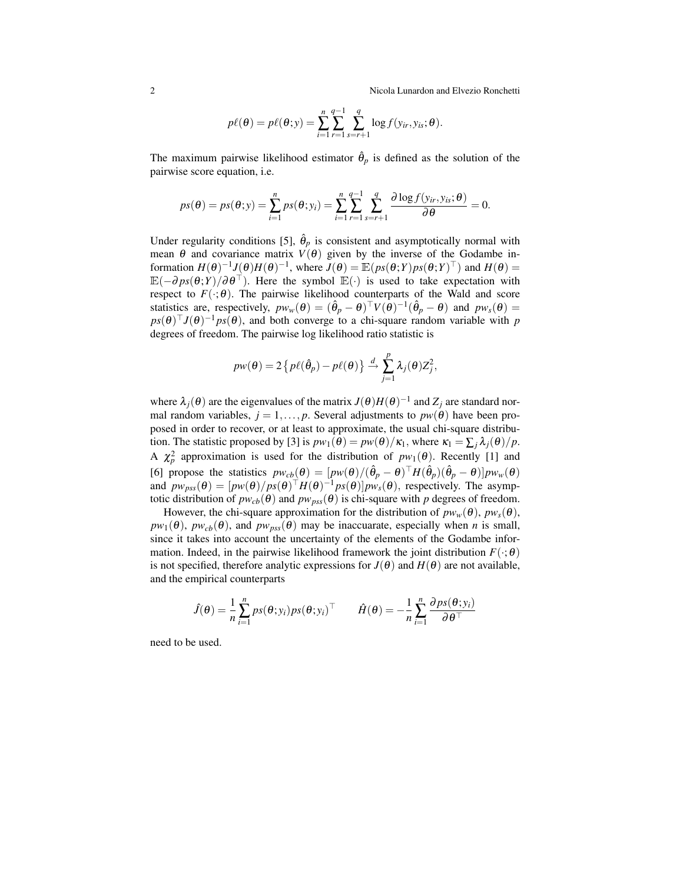2 Nicola Lunardon and Elvezio Ronchetti

$$
p\ell(\boldsymbol{\theta}) = p\ell(\boldsymbol{\theta};\mathbf{y}) = \sum_{i=1}^{n} \sum_{r=1}^{q-1} \sum_{s=r+1}^{q} \log f(y_{ir}, y_{is}; \boldsymbol{\theta}).
$$

The maximum pairwise likelihood estimator  $\hat{\theta}_p$  is defined as the solution of the pairwise score equation, i.e.

$$
ps(\theta) = ps(\theta; y) = \sum_{i=1}^{n} ps(\theta; y_i) = \sum_{i=1}^{n} \sum_{r=1}^{q-1} \sum_{s=r+1}^{q} \frac{\partial \log f(y_{ir}, y_{is}; \theta)}{\partial \theta} = 0.
$$

Under regularity conditions [5],  $\hat{\theta}_p$  is consistent and asymptotically normal with mean  $\theta$  and covariance matrix  $V(\theta)$  given by the inverse of the Godambe information  $H(\theta)^{-1}J(\theta)H(\theta)^{-1}$ , where  $J(\theta) = \mathbb{E}(ps(\theta;Y)ps(\theta;Y)^{\top})$  and  $H(\theta) =$  $\mathbb{E}(-\partial ps(\theta;Y)/\partial \theta^{\top})$ . Here the symbol  $\mathbb{E}(\cdot)$  is used to take expectation with respect to  $F(\cdot;\theta)$ . The pairwise likelihood counterparts of the Wald and score statistics are, respectively,  $pw_w(\theta) = (\hat{\theta}_p - \theta)^{\top} V(\theta)^{-1} (\hat{\theta}_p - \theta)$  and  $pw_s(\theta) =$  $ps(\theta)^\top J(\theta)^{-1} ps(\theta)$ , and both converge to a chi-square random variable with *p* degrees of freedom. The pairwise log likelihood ratio statistic is

$$
p w(\theta) = 2 \left\{ p \ell(\hat{\theta}_p) - p \ell(\theta) \right\} \stackrel{d}{\rightarrow} \sum_{j=1}^p \lambda_j(\theta) Z_j^2,
$$

where  $\lambda_j(\theta)$  are the eigenvalues of the matrix  $J(\theta)H(\theta)^{-1}$  and  $Z_j$  are standard normal random variables,  $j = 1, ..., p$ . Several adjustments to  $pw(\theta)$  have been proposed in order to recover, or at least to approximate, the usual chi-square distribution. The statistic proposed by [3] is  $pw_1(\theta) = pw(\theta)/\kappa_1$ , where  $\kappa_1 = \sum_i \lambda_i(\theta)/p$ . A  $\chi_p^2$  approximation is used for the distribution of  $pw_1(\theta)$ . Recently [1] and [6] propose the statistics  $pw_{cb}(\theta) = [pw(\theta)/(\hat{\theta}_p - \theta)^{\top}H(\hat{\theta}_p)(\hat{\theta}_p - \theta)]pw_w(\theta)$ and  $pw_{pss}(\theta) = [pw(\theta)/ps(\theta)]^{\top}H(\theta)^{-1}ps(\theta)]pw_s(\theta)$ , respectively. The asymptotic distribution of  $pw_{cb}(\theta)$  and  $pw_{pss}(\theta)$  is chi-square with p degrees of freedom.

However, the chi-square approximation for the distribution of  $pw_w(\theta)$ ,  $pw_s(\theta)$ ,  $pw_1(\theta)$ ,  $pw_{cb}(\theta)$ , and  $pw_{pss}(\theta)$  may be inaccuarate, especially when *n* is small, since it takes into account the uncertainty of the elements of the Godambe information. Indeed, in the pairwise likelihood framework the joint distribution  $F(\cdot;\theta)$ is not specified, therefore analytic expressions for  $J(\theta)$  and  $H(\theta)$  are not available, and the empirical counterparts

$$
\hat{J}(\theta) = \frac{1}{n} \sum_{i=1}^{n} p s(\theta; y_i) p s(\theta; y_i)^{\top} \qquad \hat{H}(\theta) = -\frac{1}{n} \sum_{i=1}^{n} \frac{\partial p s(\theta; y_i)}{\partial \theta^{\top}}
$$

need to be used.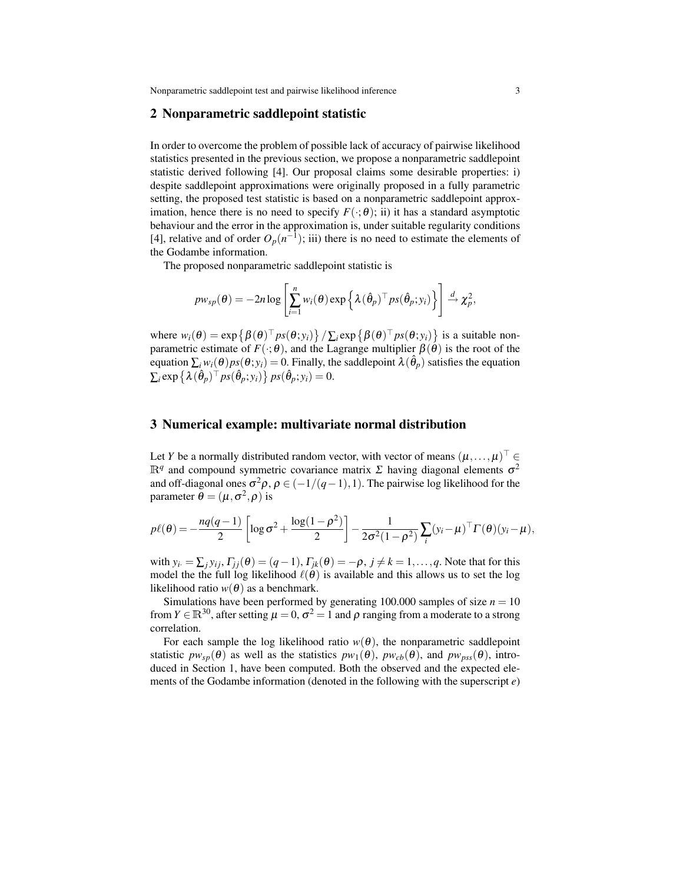Nonparametric saddlepoint test and pairwise likelihood inference 3

### 2 Nonparametric saddlepoint statistic

In order to overcome the problem of possible lack of accuracy of pairwise likelihood statistics presented in the previous section, we propose a nonparametric saddlepoint statistic derived following [4]. Our proposal claims some desirable properties: i) despite saddlepoint approximations were originally proposed in a fully parametric setting, the proposed test statistic is based on a nonparametric saddlepoint approximation, hence there is no need to specify  $F(\cdot; \theta)$ ; ii) it has a standard asymptotic behaviour and the error in the approximation is, under suitable regularity conditions [4], relative and of order  $O_p(n^{-1})$ ; iii) there is no need to estimate the elements of the Godambe information.

The proposed nonparametric saddlepoint statistic is

$$
p w_{sp}(\theta) = -2n \log \left[ \sum_{i=1}^n w_i(\theta) \exp \left\{ \lambda (\hat{\theta}_p)^{\top} p s(\hat{\theta}_p; y_i) \right\} \right] \stackrel{d}{\rightarrow} \chi_p^2,
$$

where  $w_i(\theta) = \exp \{ \beta(\theta)^{\top} ps(\theta; y_i) \} / \sum_i \exp \{ \beta(\theta)^{\top} ps(\theta; y_i) \}$  is a suitable nonparametric estimate of  $F(\cdot;\theta)$ , and the Lagrange multiplier  $\beta(\theta)$  is the root of the equation  $\sum_i w_i(\theta)p s(\theta; y_i) = 0$ . Finally, the saddlepoint  $\lambda(\hat{\theta}_p)$  satisfies the equation  $\sum_i \exp \{ \lambda (\hat{\theta}_p)^{\top} ps(\hat{\theta}_p; y_i) \} ps(\hat{\theta}_p; y_i) = 0.$ 

### 3 Numerical example: multivariate normal distribution

Let *Y* be a normally distributed random vector, with vector of means  $(\mu, \ldots, \mu)^\top \in$  $\mathbb{R}^q$  and compound symmetric covariance matrix  $\Sigma$  having diagonal elements  $\sigma^2$ and off-diagonal ones  $\sigma^2 \rho$ ,  $\rho \in (-1/(q-1),1)$ . The pairwise log likelihood for the parameter  $\theta = (\mu, \sigma^2, \rho)$  is

$$
p\ell(\theta) = -\frac{nq(q-1)}{2}\left[\log \sigma^2 + \frac{\log(1-\rho^2)}{2}\right] - \frac{1}{2\sigma^2(1-\rho^2)}\sum_i(y_i-\mu)^{\top}\Gamma(\theta)(y_i-\mu),
$$

with  $y_i = \sum_j y_{ij}, \Gamma_{jj}(\theta) = (q-1), \Gamma_{jk}(\theta) = -\rho, j \neq k = 1, \ldots, q$ . Note that for this model the the full log likelihood  $\ell(\theta)$  is available and this allows us to set the log likelihood ratio  $w(\theta)$  as a benchmark.

Simulations have been performed by generating 100.000 samples of size  $n = 10$ from  $Y \in \mathbb{R}^{30}$ , after setting  $\mu = 0$ ,  $\sigma^2 = 1$  and  $\rho$  ranging from a moderate to a strong correlation.

For each sample the log likelihood ratio  $w(\theta)$ , the nonparametric saddlepoint statistic  $pw_{sp}(\theta)$  as well as the statistics  $pw_1(\theta)$ ,  $pw_{cb}(\theta)$ , and  $pw_{pss}(\theta)$ , introduced in Section 1, have been computed. Both the observed and the expected elements of the Godambe information (denoted in the following with the superscript *e*)